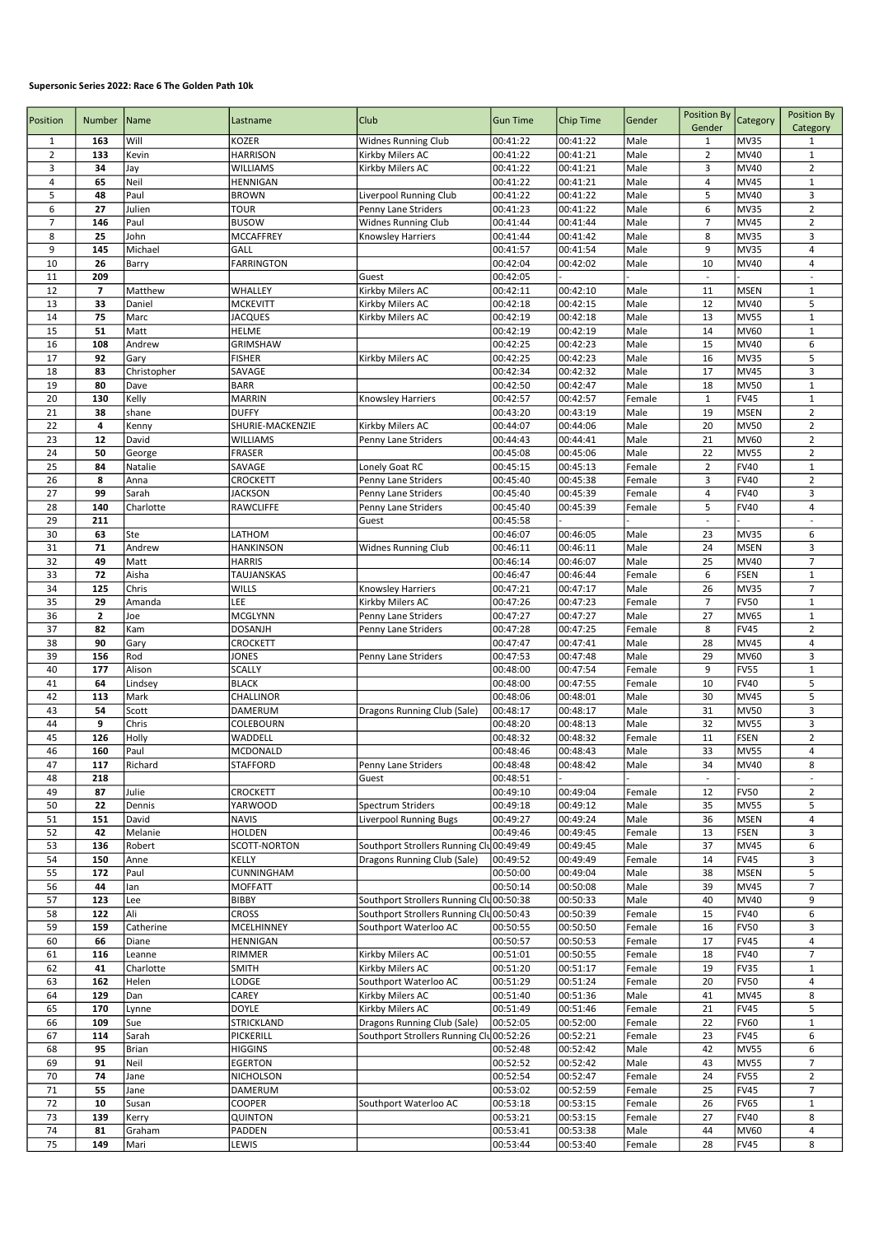## Supersonic Series 2022: Race 6 The Golden Path 10k

| Position       | Number       | Name                | Lastname                      | <b>Club</b>                                | <b>Gun Time</b>      | Chip Time            | Gender           | <b>Position By</b>       |                            | Position By                    |
|----------------|--------------|---------------------|-------------------------------|--------------------------------------------|----------------------|----------------------|------------------|--------------------------|----------------------------|--------------------------------|
|                |              |                     |                               |                                            |                      |                      |                  | Gender                   | Category                   | Category                       |
| 1              | 163          | Will                | KOZER                         | <b>Widnes Running Club</b>                 | 00:41:22             | 00:41:22             | Male             | 1                        | MV35                       | 1                              |
| $\overline{2}$ | 133          | Kevin               | <b>HARRISON</b>               | Kirkby Milers AC                           | 00:41:22             | 00:41:21             | Male             | $\overline{2}$           | MV40                       | $\mathbf{1}$                   |
| 3              | 34           | Jay                 | <b>WILLIAMS</b>               | Kirkby Milers AC                           | 00:41:22             | 00:41:21             | Male             | 3                        | MV40                       | $\mathbf 2$                    |
| $\sqrt{4}$     | 65           | Neil                | <b>HENNIGAN</b>               |                                            | 00:41:22             | 00:41:21             | Male             | $\overline{4}$           | <b>MV45</b>                | $\mathbf 1$                    |
| 5<br>6         | 48<br>27     | Paul<br>Julien      | <b>BROWN</b><br><b>TOUR</b>   | Liverpool Running Club                     | 00:41:22<br>00:41:23 | 00:41:22<br>00:41:22 | Male<br>Male     | 5<br>6                   | MV40<br><b>MV35</b>        | 3<br>$\mathbf 2$               |
| $\overline{7}$ | 146          | Paul                | <b>BUSOW</b>                  | Penny Lane Striders<br>Widnes Running Club | 00:41:44             | 00:41:44             | Male             | $\overline{7}$           | <b>MV45</b>                | $\overline{2}$                 |
| 8              | 25           | John                | MCCAFFREY                     | Knowsley Harriers                          | 00:41:44             | 00:41:42             | Male             | 8                        | MV35                       | 3                              |
| 9              | 145          | Michael             | GALL                          |                                            | 00:41:57             | 00:41:54             | Male             | 9                        | MV35                       | 4                              |
| 10             | 26           | Barry               | <b>FARRINGTON</b>             |                                            | 00:42:04             | 00:42:02             | Male             | 10                       | MV40                       | 4                              |
| 11             | 209          |                     |                               | Guest                                      | 00:42:05             |                      |                  | $\overline{\phantom{a}}$ |                            | ä,                             |
| 12             | 7            | Matthew             | WHALLEY                       | Kirkby Milers AC                           | 00:42:11             | 00:42:10             | Male             | 11                       | <b>MSEN</b>                | $\mathbf 1$                    |
| 13             | 33           | Daniel              | <b>MCKEVITT</b>               | Kirkby Milers AC                           | 00:42:18             | 00:42:15             | Male             | 12                       | MV40                       | 5                              |
| 14             | 75           | Marc                | <b>JACQUES</b>                | Kirkby Milers AC                           | 00:42:19             | 00:42:18             | Male             | 13                       | <b>MV55</b>                | $\mathbf 1$                    |
| 15             | 51           | Matt                | <b>HELME</b>                  |                                            | 00:42:19             | 00:42:19             | Male             | 14                       | <b>MV60</b>                | $\mathbf 1$                    |
| 16             | 108          | Andrew              | <b>GRIMSHAW</b>               |                                            | 00:42:25             | 00:42:23             | Male             | 15                       | <b>MV40</b>                | 6                              |
| 17<br>18       | 92<br>83     | Gary                | <b>FISHER</b>                 | Kirkby Milers AC                           | 00:42:25<br>00:42:34 | 00:42:23             | Male<br>Male     | 16<br>17                 | <b>MV35</b><br><b>MV45</b> | 5<br>3                         |
| 19             | 80           | Christopher<br>Dave | SAVAGE<br><b>BARR</b>         |                                            | 00:42:50             | 00:42:32<br>00:42:47 | Male             | 18                       | <b>MV50</b>                | $\mathbf 1$                    |
| 20             | 130          | Kelly               | <b>MARRIN</b>                 | Knowsley Harriers                          | 00:42:57             | 00:42:57             | Female           | $\mathbf{1}$             | FV45                       | $\mathbf 1$                    |
| 21             | 38           | shane               | <b>DUFFY</b>                  |                                            | 00:43:20             | 00:43:19             | Male             | 19                       | <b>MSEN</b>                | $\overline{2}$                 |
| 22             | 4            | Kenny               | SHURIE-MACKENZIE              | Kirkby Milers AC                           | 00:44:07             | 00:44:06             | Male             | 20                       | <b>MV50</b>                | $\overline{2}$                 |
| 23             | 12           | David               | <b>WILLIAMS</b>               | Penny Lane Striders                        | 00:44:43             | 00:44:41             | Male             | 21                       | MV60                       | $\overline{2}$                 |
| 24             | 50           | George              | <b>FRASER</b>                 |                                            | 00:45:08             | 00:45:06             | Male             | 22                       | <b>MV55</b>                | $\overline{2}$                 |
| 25             | 84           | Natalie             | SAVAGE                        | Lonely Goat RC                             | 00:45:15             | 00:45:13             | Female           | $\overline{2}$           | <b>FV40</b>                | $\mathbf 1$                    |
| 26             | 8            | Anna                | CROCKETT                      | Penny Lane Striders                        | 00:45:40             | 00:45:38             | Female           | 3                        | <b>FV40</b>                | $\overline{2}$                 |
| 27             | 99           | Sarah               | <b>JACKSON</b>                | Penny Lane Striders                        | 00:45:40             | 00:45:39             | Female           | 4                        | <b>FV40</b>                | 3                              |
| 28             | 140          | Charlotte           | <b>RAWCLIFFE</b>              | Penny Lane Striders                        | 00:45:40             | 00:45:39             | Female           | 5                        | <b>FV40</b>                | 4                              |
| 29<br>30       | 211<br>63    | Ste                 | LATHOM                        | Guest                                      | 00:45:58<br>00:46:07 | 00:46:05             | Male             | $\frac{1}{2}$<br>23      | MV35                       | 6                              |
| 31             | 71           | Andrew              | <b>HANKINSON</b>              | Widnes Running Club                        | 00:46:11             | 00:46:11             | Male             | 24                       | <b>MSEN</b>                | 3                              |
| 32             | 49           | Matt                | <b>HARRIS</b>                 |                                            | 00:46:14             | 00:46:07             | Male             | 25                       | MV40                       | $\overline{7}$                 |
| 33             | 72           | Aisha               | TAUJANSKAS                    |                                            | 00:46:47             | 00:46:44             | Female           | 6                        | <b>FSEN</b>                | $\mathbf 1$                    |
| 34             | 125          | Chris               | WILLS                         | Knowsley Harriers                          | 00:47:21             | 00:47:17             | Male             | 26                       | MV35                       | $\overline{7}$                 |
| 35             | 29           | Amanda              | LEE                           | Kirkby Milers AC                           | 00:47:26             | 00:47:23             | Female           | $\overline{7}$           | <b>FV50</b>                | $\mathbf 1$                    |
| 36             | $\mathbf{z}$ | Joe                 | <b>MCGLYNN</b>                | Penny Lane Striders                        | 00:47:27             | 00:47:27             | Male             | 27                       | MV65                       | $\mathbf 1$                    |
| 37             | 82           | Kam                 | <b>DOSANJH</b>                | Penny Lane Striders                        | 00:47:28             | 00:47:25             | Female           | 8                        | <b>FV45</b>                | $\overline{2}$                 |
| 38             | 90           | Gary                | CROCKETT                      |                                            | 00:47:47             | 00:47:41             | Male             | 28                       | <b>MV45</b>                | 4                              |
| 39             | 156          | Rod                 | JONES                         | Penny Lane Striders                        | 00:47:53             | 00:47:48             | Male             | 29                       | <b>MV60</b>                | 3                              |
| 40             | 177<br>64    | Alison              | <b>SCALLY</b>                 |                                            | 00:48:00             | 00:47:54             | Female           | 9<br>10                  | <b>FV55</b><br><b>FV40</b> | $\mathbf 1$<br>5               |
| 41<br>42       | 113          | Lindsey<br>Mark     | <b>BLACK</b><br>CHALLINOR     |                                            | 00:48:00<br>00:48:06 | 00:47:55<br>00:48:01 | Female<br>Male   | 30                       | <b>MV45</b>                | 5                              |
| 43             | 54           | Scott               | <b>DAMERUM</b>                | Dragons Running Club (Sale)                | 00:48:17             | 00:48:17             | Male             | 31                       | <b>MV50</b>                | 3                              |
| 44             | 9            | Chris               | COLEBOURN                     |                                            | 00:48:20             | 00:48:13             | Male             | 32                       | <b>MV55</b>                | 3                              |
| 45             | 126          | Holly               | WADDELL                       |                                            | 00:48:32             | 00:48:32             | Female           | 11                       | <b>FSEN</b>                | $\mathbf 2$                    |
| 46             | 160          | Paul                | <b>MCDONALD</b>               |                                            | 00:48:46             | 00:48:43             | Male             | 33                       | <b>MV55</b>                | $\overline{4}$                 |
| 47             | 117          | Richard             | STAFFORD                      | Penny Lane Striders                        | 00:48:48             | 00:48:42             | Male             | 34                       | MV40                       | 8                              |
| 48             | 218          |                     |                               | Guest                                      | 00:48:51             |                      |                  | $\overline{\phantom{a}}$ |                            | $\overline{\phantom{a}}$       |
| 49             | 87           | Julie               | CROCKETT                      |                                            | 00:49:10             | 00:49:04             | Female           | 12                       | <b>FV50</b>                | $\overline{2}$                 |
| 50             | 22           | Dennis              | YARWOOD                       | Spectrum Striders                          | 00:49:18             | 00:49:12             | Male             | 35                       | <b>MV55</b>                | 5                              |
| 51<br>52       | 151<br>42    | David<br>Melanie    | <b>NAVIS</b><br><b>HOLDEN</b> | Liverpool Running Bugs                     | 00:49:27<br>00:49:46 | 00:49:24<br>00:49:45 | Male<br>Female   | 36<br>13                 | <b>MSEN</b><br><b>FSEN</b> | $\overline{\mathbf{4}}$<br>3   |
| 53             | 136          | Robert              | <b>SCOTT-NORTON</b>           | Southport Strollers Running Clu00:49:49    |                      | 00:49:45             | Male             | 37                       | <b>MV45</b>                | 6                              |
| 54             | 150          | Anne                | KELLY                         | Dragons Running Club (Sale)                | 00:49:52             | 00:49:49             | Female           | 14                       | <b>FV45</b>                | 3                              |
| 55             | 172          | Paul                | CUNNINGHAM                    |                                            | 00:50:00             | 00:49:04             | Male             | 38                       | <b>MSEN</b>                | 5                              |
| 56             | 44           | lan                 | <b>MOFFATT</b>                |                                            | 00:50:14             | 00:50:08             | Male             | 39                       | MV45                       | $\overline{7}$                 |
| 57             | 123          | Lee                 | <b>BIBBY</b>                  | Southport Strollers Running Clu00:50:38    |                      | 00:50:33             | Male             | 40                       | MV40                       | 9                              |
| 58             | 122          | Ali                 | <b>CROSS</b>                  | Southport Strollers Running Clu 00:50:43   |                      | 00:50:39             | Female           | 15                       | <b>FV40</b>                | 6                              |
| 59             | 159          | Catherine           | MCELHINNEY                    | Southport Waterloo AC                      | 00:50:55             | 00:50:50             | Female           | 16                       | <b>FV50</b>                | 3                              |
| 60             | 66           | Diane               | HENNIGAN                      |                                            | 00:50:57             | 00:50:53             | Female           | 17                       | <b>FV45</b>                | $\overline{\mathbf{4}}$        |
| 61             | 116<br>41    | Leanne<br>Charlotte | RIMMER                        | Kirkby Milers AC<br>Kirkby Milers AC       | 00:51:01<br>00:51:20 | 00:50:55             | Female           | 18<br>19                 | <b>FV40</b><br><b>FV35</b> | $\overline{7}$<br>$\mathbf{1}$ |
| 62<br>63       | 162          | Helen               | <b>SMITH</b><br>LODGE         | Southport Waterloo AC                      | 00:51:29             | 00:51:17<br>00:51:24 | Female<br>Female | 20                       | FV50                       | 4                              |
| 64             | 129          | Dan                 | CAREY                         | Kirkby Milers AC                           | 00:51:40             | 00:51:36             | Male             | 41                       | <b>MV45</b>                | 8                              |
| 65             | 170          | Lynne               | <b>DOYLE</b>                  | Kirkby Milers AC                           | 00:51:49             | 00:51:46             | Female           | 21                       | <b>FV45</b>                | 5                              |
| 66             | 109          | Sue                 | STRICKLAND                    | Dragons Running Club (Sale)                | 00:52:05             | 00:52:00             | Female           | 22                       | <b>FV60</b>                | $\mathbf{1}$                   |
| 67             | 114          | Sarah               | PICKERILL                     | Southport Strollers Running Clu 00:52:26   |                      | 00:52:21             | Female           | 23                       | <b>FV45</b>                | 6                              |
| 68             | 95           | <b>Brian</b>        | <b>HIGGINS</b>                |                                            | 00:52:48             | 00:52:42             | Male             | 42                       | <b>MV55</b>                | 6                              |
| 69             | 91           | Neil                | <b>EGERTON</b>                |                                            | 00:52:52             | 00:52:42             | Male             | 43                       | <b>MV55</b>                | $\overline{7}$                 |
| 70             | 74           | Jane                | NICHOLSON                     |                                            | 00:52:54             | 00:52:47             | Female           | 24                       | <b>FV55</b>                | $\overline{2}$                 |
| 71             | 55           | Jane                | DAMERUM                       |                                            | 00:53:02             | 00:52:59             | Female           | 25                       | <b>FV45</b>                | $\overline{7}$                 |
| 72<br>73       | 10           | Susan               | COOPER                        | Southport Waterloo AC                      | 00:53:18<br>00:53:21 | 00:53:15<br>00:53:15 | Female           | 26<br>27                 | <b>FV65</b><br><b>FV40</b> | $\mathbf{1}$<br>8              |
| 74             | 139<br>81    | Kerry<br>Graham     | QUINTON<br>PADDEN             |                                            | 00:53:41             | 00:53:38             | Female<br>Male   | 44                       | <b>MV60</b>                | $\overline{\mathbf{4}}$        |
| 75             | 149          | Mari                | LEWIS                         |                                            | 00:53:44             | 00:53:40             | Female           | 28                       | FV45                       | 8                              |
|                |              |                     |                               |                                            |                      |                      |                  |                          |                            |                                |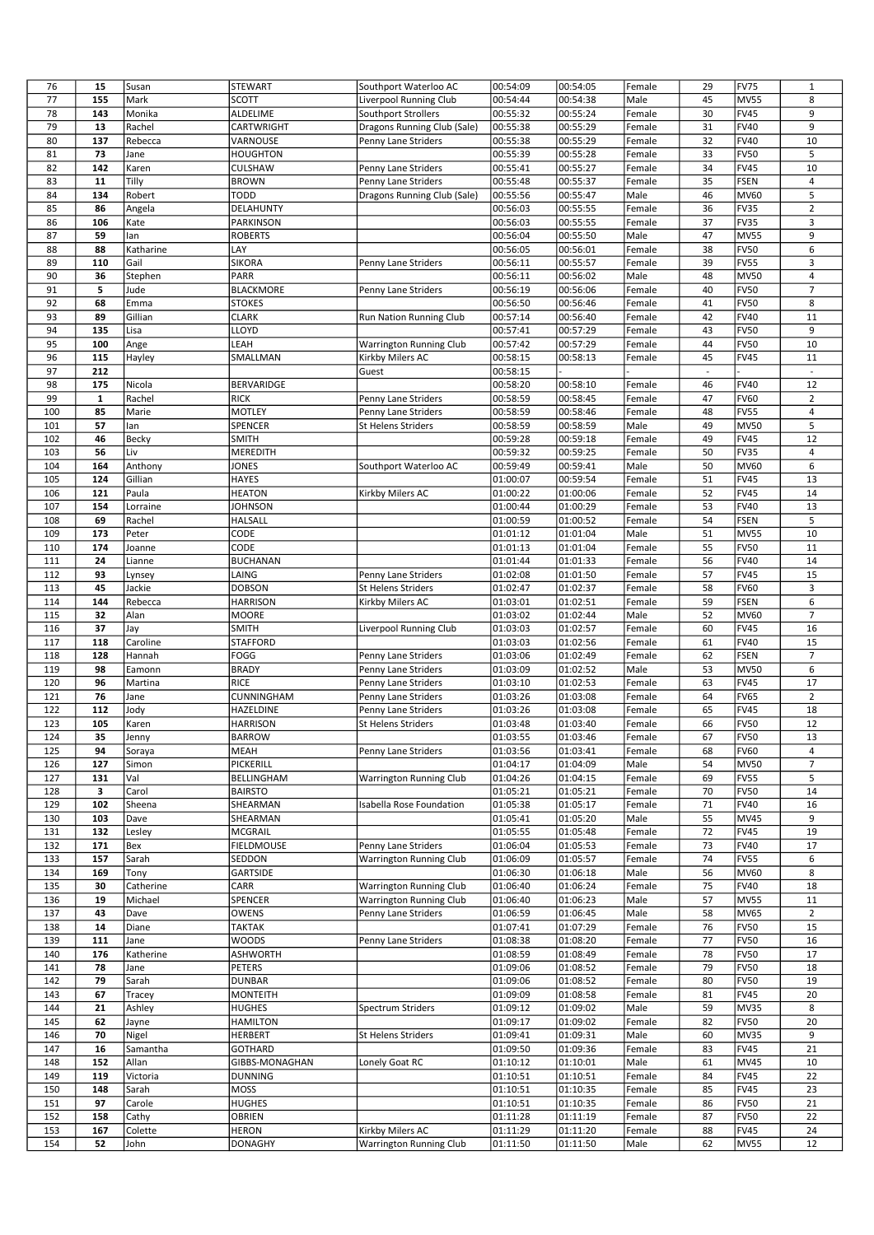| 76  | 15           | Susan             | STEWART           | Southport Waterloo AC           | 00:54:09             | 00:54:05 | Female | 29                       | <b>FV75</b> | $\mathbf{1}$   |
|-----|--------------|-------------------|-------------------|---------------------------------|----------------------|----------|--------|--------------------------|-------------|----------------|
| 77  | 155          | Mark              | <b>SCOTT</b>      | Liverpool Running Club          | 00:54:44             | 00:54:38 | Male   | 45                       | <b>MV55</b> | 8              |
| 78  | 143          | Monika            | ALDELIME          | Southport Strollers             | 00:55:32             | 00:55:24 | Female | 30                       | <b>FV45</b> | 9              |
|     |              |                   |                   |                                 |                      |          |        |                          |             |                |
| 79  | 13           | Rachel            | CARTWRIGHT        | Dragons Running Club (Sale)     | 00:55:38             | 00:55:29 | Female | 31                       | <b>FV40</b> | 9              |
| 80  | 137          | Rebecca           | VARNOUSE          | Penny Lane Striders             | 00:55:38             | 00:55:29 | Female | 32                       | <b>FV40</b> | 10             |
| 81  | 73           | Jane              | <b>HOUGHTON</b>   |                                 | 00:55:39             | 00:55:28 | Female | 33                       | <b>FV50</b> | 5              |
| 82  | 142          | Karen             | <b>CULSHAW</b>    | Penny Lane Striders             | 00:55:41             | 00:55:27 | Female | 34                       | <b>FV45</b> | 10             |
| 83  | 11           | Tilly             | <b>BROWN</b>      | Penny Lane Striders             | 00:55:48             | 00:55:37 | Female | 35                       | <b>FSEN</b> | 4              |
| 84  | 134          | Robert            | <b>TODD</b>       | Dragons Running Club (Sale)     | 00:55:56             | 00:55:47 | Male   | 46                       | MV60        | 5              |
| 85  | 86           | Angela            | DELAHUNTY         |                                 | 00:56:03             | 00:55:55 | Female | 36                       | <b>FV35</b> | $\overline{2}$ |
| 86  | 106          | Kate              | PARKINSON         |                                 | 00:56:03             | 00:55:55 | Female | 37                       | FV35        | 3              |
| 87  | 59           | lan               | <b>ROBERTS</b>    |                                 | 00:56:04             | 00:55:50 | Male   | 47                       | <b>MV55</b> | 9              |
| 88  | 88           | Katharine         | LAY               |                                 | 00:56:05             | 00:56:01 | Female | 38                       | <b>FV50</b> | 6              |
| 89  | 110          | Gail              | <b>SIKORA</b>     | Penny Lane Striders             | 00:56:11             | 00:55:57 | Female | 39                       | <b>FV55</b> | 3              |
| 90  | 36           |                   | PARR              |                                 | 00:56:11             | 00:56:02 | Male   | 48                       | <b>MV50</b> | 4              |
|     |              | Stephen           |                   |                                 |                      |          |        |                          |             |                |
| 91  | 5            | Jude              | BLACKMORE         | Penny Lane Striders             | 00:56:19             | 00:56:06 | Female | 40                       | <b>FV50</b> | 7              |
| 92  | 68           | Emma              | <b>STOKES</b>     |                                 | 00:56:50             | 00:56:46 | Female | 41                       | <b>FV50</b> | 8              |
| 93  | 89           | Gillian           | <b>CLARK</b>      | Run Nation Running Club         | 00:57:14             | 00:56:40 | Female | 42                       | <b>FV40</b> | 11             |
| 94  | 135          | Lisa              | LLOYD             |                                 | 00:57:41             | 00:57:29 | Female | 43                       | <b>FV50</b> | 9              |
| 95  | 100          | Ange              | LEAH              | Warrington Running Club         | 00:57:42             | 00:57:29 | Female | 44                       | <b>FV50</b> | 10             |
| 96  | 115          | Hayley            | SMALLMAN          | Kirkby Milers AC                | 00:58:15             | 00:58:13 | Female | 45                       | <b>FV45</b> | 11             |
| 97  | 212          |                   |                   | Guest                           | 00:58:15             |          |        | $\overline{\phantom{a}}$ |             | ÷.             |
| 98  | 175          | Nicola            | BERVARIDGE        |                                 | 00:58:20             | 00:58:10 | Female | 46                       | <b>FV40</b> | 12             |
| 99  | $\mathbf{1}$ | Rachel            | <b>RICK</b>       | Penny Lane Striders             | 00:58:59             | 00:58:45 | Female | 47                       | <b>FV60</b> | $\overline{2}$ |
| 100 | 85           | Marie             | <b>MOTLEY</b>     | Penny Lane Striders             | 00:58:59             | 00:58:46 | Female | 48                       | <b>FV55</b> | 4              |
| 101 | 57           | lan               | SPENCER           | St Helens Striders              | 00:58:59             | 00:58:59 | Male   | 49                       | <b>MV50</b> | 5              |
| 102 | 46           | Becky             | <b>SMITH</b>      |                                 | 00:59:28             | 00:59:18 | Female | 49                       | <b>FV45</b> | 12             |
| 103 | 56           | Liv               | MEREDITH          |                                 | 00:59:32             | 00:59:25 | Female | 50                       | <b>FV35</b> | 4              |
| 104 | 164          | Anthony           | <b>JONES</b>      | Southport Waterloo AC           | 00:59:49             | 00:59:41 | Male   | 50                       | MV60        | 6              |
| 105 | 124          | Gillian           | <b>HAYES</b>      |                                 | 01:00:07             | 00:59:54 | Female | 51                       | <b>FV45</b> | 13             |
| 106 | 121          | Paula             | <b>HEATON</b>     | Kirkby Milers AC                | 01:00:22             | 01:00:06 | Female | 52                       | <b>FV45</b> | 14             |
| 107 | 154          | Lorraine          | <b>JOHNSON</b>    |                                 | 01:00:44             | 01:00:29 | Female | 53                       | <b>FV40</b> | 13             |
| 108 | 69           | Rachel            | HALSALL           |                                 | 01:00:59             | 01:00:52 | Female | 54                       | <b>FSEN</b> | 5              |
| 109 | 173          | Peter             | CODE              |                                 | 01:01:12             | 01:01:04 | Male   | 51                       | <b>MV55</b> | 10             |
| 110 | 174          | Joanne            | CODE              |                                 | 01:01:13             | 01:01:04 | Female | 55                       | <b>FV50</b> | 11             |
|     | 24           |                   |                   |                                 |                      |          |        | 56                       | <b>FV40</b> | 14             |
| 111 |              | Lianne            | <b>BUCHANAN</b>   |                                 | 01:01:44             | 01:01:33 | Female |                          |             |                |
| 112 | 93           | Lynsey            | LAING             | Penny Lane Striders             | 01:02:08             | 01:01:50 | Female | 57                       | <b>FV45</b> | 15             |
| 113 | 45           | Jackie            | <b>DOBSON</b>     | St Helens Striders              | 01:02:47             | 01:02:37 | Female | 58                       | <b>FV60</b> | 3              |
| 114 | 144          | Rebecca           | <b>HARRISON</b>   | Kirkby Milers AC                | 01:03:01             | 01:02:51 | Female | 59                       | <b>FSEN</b> | 6              |
| 115 | 32           | Alan              | <b>MOORE</b>      |                                 | 01:03:02             | 01:02:44 | Male   | 52                       | MV60        | 7              |
| 116 | 37           | Jay               | <b>SMITH</b>      | Liverpool Running Club          | 01:03:03             | 01:02:57 | Female | 60                       | <b>FV45</b> | 16             |
| 117 | 118          | Caroline          | <b>STAFFORD</b>   |                                 | 01:03:03             | 01:02:56 | Female | 61                       | <b>FV40</b> | 15             |
| 118 | 128          | Hannah            | FOGG              | Penny Lane Striders             | 01:03:06             | 01:02:49 | Female | 62                       | <b>FSEN</b> | $\overline{7}$ |
| 119 | 98           | Eamonn            | <b>BRADY</b>      | Penny Lane Striders             | 01:03:09             | 01:02:52 | Male   | 53                       | MV50        | 6              |
| 120 | 96           | Martina           | <b>RICE</b>       | Penny Lane Striders             | 01:03:10             | 01:02:53 | Female | 63                       | <b>FV45</b> | 17             |
| 121 | 76           | Jane              | CUNNINGHAM        | Penny Lane Striders             | 01:03:26             | 01:03:08 | Female | 64                       | <b>FV65</b> | $\overline{2}$ |
| 122 | 112          | Jody              | HAZELDINE         | Penny Lane Striders             | 01:03:26             | 01:03:08 | Female | 65                       | <b>FV45</b> | 18             |
| 123 | 105          | Karen             | <b>HARRISON</b>   | St Helens Striders              | 01:03:48             | 01:03:40 | Female | 66                       | <b>FV50</b> | 12             |
| 124 | 35           | Jenny             | <b>BARROW</b>     |                                 | 01:03:55             | 01:03:46 | Female | 67                       | FV50        | 13             |
| 125 | 94           | Soraya            | MEAH              | Penny Lane Striders             | 01:03:56             | 01:03:41 | Female | 68                       | <b>FV60</b> | 4              |
| 126 | 127          | Simon             | PICKERILL         |                                 | 01:04:17             | 01:04:09 | Male   | 54                       | <b>MV50</b> | 7              |
| 127 | 131          | Val               | BELLINGHAM        | <b>Warrington Running Club</b>  | 01:04:26             | 01:04:15 | Female | 69                       | <b>FV55</b> | 5              |
| 128 | 3            | Carol             | <b>BAIRSTO</b>    |                                 | 01:05:21             | 01:05:21 | Female | 70                       | <b>FV50</b> | 14             |
| 129 | 102          | Sheena            | SHEARMAN          | <b>Isabella Rose Foundation</b> | 01:05:38             | 01:05:17 | Female | 71                       | <b>FV40</b> | 16             |
| 130 | 103          | Dave              | SHEARMAN          |                                 | 01:05:41             | 01:05:20 | Male   | 55                       | MV45        | 9              |
| 131 | 132          | Lesley            | <b>MCGRAIL</b>    |                                 | 01:05:55             | 01:05:48 | Female | 72                       | <b>FV45</b> | 19             |
| 132 | 171          | Bex               | <b>FIELDMOUSE</b> | Penny Lane Striders             | 01:06:04             | 01:05:53 | Female | 73                       | <b>FV40</b> | 17             |
| 133 | 157          | Sarah             | SEDDON            | Warrington Running Club         | 01:06:09             | 01:05:57 | Female | 74                       | <b>FV55</b> | 6              |
|     |              |                   |                   |                                 |                      | 01:06:18 |        |                          |             |                |
| 134 | 169          | Tony<br>Catherine | GARTSIDE          |                                 | 01:06:30<br>01:06:40 |          | Male   | 56                       | <b>MV60</b> | 8              |
| 135 | 30           |                   | CARR              | <b>Warrington Running Club</b>  |                      | 01:06:24 | Female | 75                       | <b>FV40</b> | 18             |
| 136 | 19           | Michael           | SPENCER           | <b>Warrington Running Club</b>  | 01:06:40             | 01:06:23 | Male   | 57                       | <b>MV55</b> | 11             |
| 137 | 43           | Dave              | OWENS             | Penny Lane Striders             | 01:06:59             | 01:06:45 | Male   | 58                       | MV65        | $\overline{2}$ |
| 138 | 14           | Diane             | TAKTAK            |                                 | 01:07:41             | 01:07:29 | Female | 76                       | <b>FV50</b> | 15             |
| 139 | 111          | Jane              | <b>WOODS</b>      | Penny Lane Striders             | 01:08:38             | 01:08:20 | Female | 77                       | <b>FV50</b> | 16             |
| 140 | 176          | Katherine         | <b>ASHWORTH</b>   |                                 | 01:08:59             | 01:08:49 | Female | 78                       | <b>FV50</b> | 17             |
| 141 | 78           | Jane              | PETERS            |                                 | 01:09:06             | 01:08:52 | Female | 79                       | <b>FV50</b> | 18             |
| 142 | 79           | Sarah             | <b>DUNBAR</b>     |                                 | 01:09:06             | 01:08:52 | Female | 80                       | <b>FV50</b> | 19             |
| 143 | 67           | Tracey            | <b>MONTEITH</b>   |                                 | 01:09:09             | 01:08:58 | Female | 81                       | <b>FV45</b> | 20             |
| 144 | 21           | Ashley            | <b>HUGHES</b>     | Spectrum Striders               | 01:09:12             | 01:09:02 | Male   | 59                       | <b>MV35</b> | 8              |
| 145 | 62           | Jayne             | <b>HAMILTON</b>   |                                 | 01:09:17             | 01:09:02 | Female | 82                       | <b>FV50</b> | 20             |
| 146 | 70           | Nigel             | <b>HERBERT</b>    | St Helens Striders              | 01:09:41             | 01:09:31 | Male   | 60                       | MV35        | 9              |
| 147 | 16           | Samantha          | GOTHARD           |                                 | 01:09:50             | 01:09:36 | Female | 83                       | <b>FV45</b> | 21             |
| 148 | 152          | Allan             | GIBBS-MONAGHAN    | Lonely Goat RC                  | 01:10:12             | 01:10:01 | Male   | 61                       | <b>MV45</b> | 10             |
| 149 | 119          | Victoria          | <b>DUNNING</b>    |                                 | 01:10:51             | 01:10:51 | Female | 84                       | <b>FV45</b> | 22             |
| 150 | 148          | Sarah             | <b>MOSS</b>       |                                 | 01:10:51             | 01:10:35 | Female | 85                       | <b>FV45</b> | 23             |
| 151 | 97           | Carole            | <b>HUGHES</b>     |                                 | 01:10:51             | 01:10:35 | Female | 86                       | <b>FV50</b> | 21             |
| 152 | 158          | Cathy             | OBRIEN            |                                 | 01:11:28             | 01:11:19 | Female | 87                       | <b>FV50</b> | 22             |
| 153 | 167          | Colette           | <b>HERON</b>      | Kirkby Milers AC                | 01:11:29             | 01:11:20 | Female | 88                       | <b>FV45</b> | 24             |
| 154 | 52           | John              | <b>DONAGHY</b>    | <b>Warrington Running Club</b>  | 01:11:50             | 01:11:50 | Male   | 62                       | <b>MV55</b> | 12             |
|     |              |                   |                   |                                 |                      |          |        |                          |             |                |